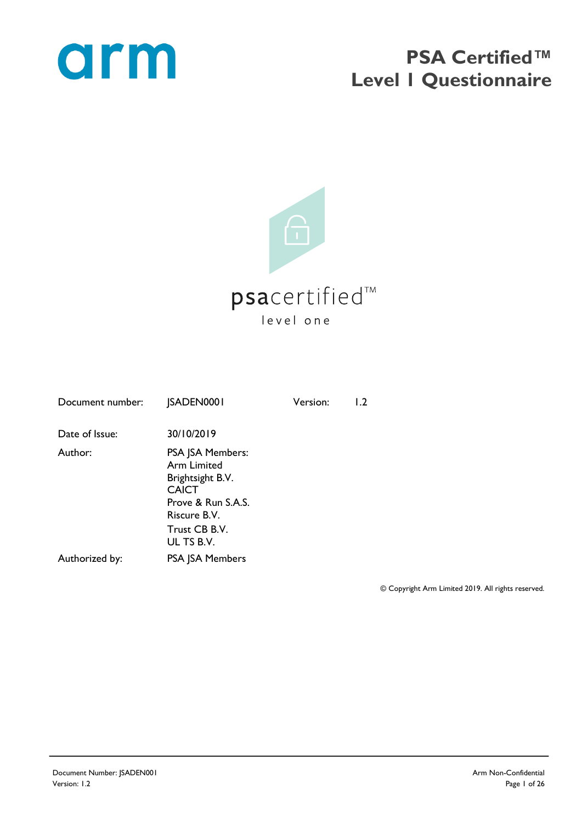

## **PSA Certified™ Level 1 Questionnaire**



| <b>JSADEN0001</b>                                                                                                | Version: | 1.2 |
|------------------------------------------------------------------------------------------------------------------|----------|-----|
| 30/10/2019                                                                                                       |          |     |
| PSA JSA Members:<br><b>Arm Limited</b><br>Brightsight B.V.<br><b>CAICT</b><br>Prove & Run S.A.S.<br>Riscure B.V. |          |     |
| Trust CB B.V.<br>UL TS B.V.                                                                                      |          |     |
| <b>PSA JSA Members</b>                                                                                           |          |     |
|                                                                                                                  |          |     |

© Copyright Arm Limited 2019. All rights reserved.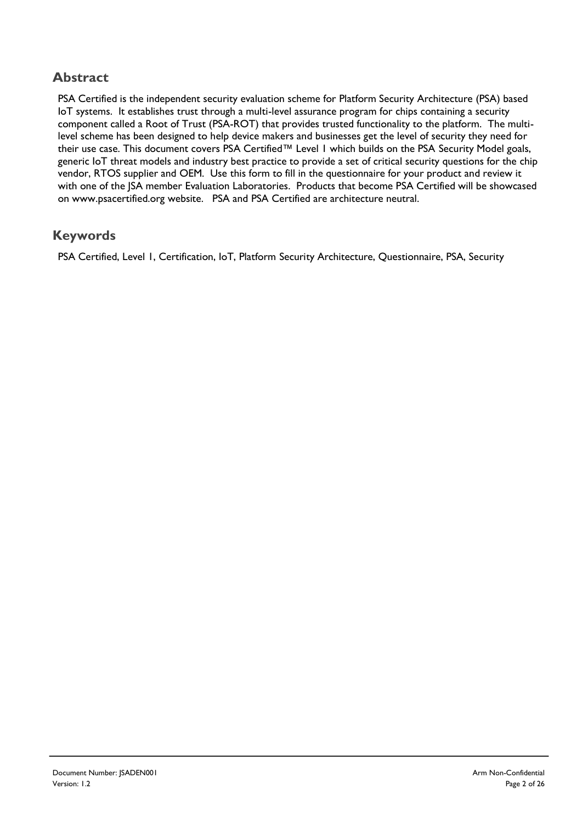#### **Abstract**

PSA Certified is the independent security evaluation scheme for Platform Security Architecture (PSA) based IoT systems. It establishes trust through a multi-level assurance program for chips containing a security component called a Root of Trust (PSA-ROT) that provides trusted functionality to the platform. The multilevel scheme has been designed to help device makers and businesses get the level of security they need for their use case. This document covers PSA Certified™ Level 1 which builds on the PSA Security Model goals, generic IoT threat models and industry best practice to provide a set of critical security questions for the chip vendor, RTOS supplier and OEM. Use this form to fill in the questionnaire for your product and review it with one of the JSA member Evaluation Laboratories. Products that become PSA Certified will be showcased on www.psacertified.org website. PSA and PSA Certified are architecture neutral.

#### **Keywords**

PSA Certified, Level 1, Certification, IoT, Platform Security Architecture, Questionnaire, PSA, Security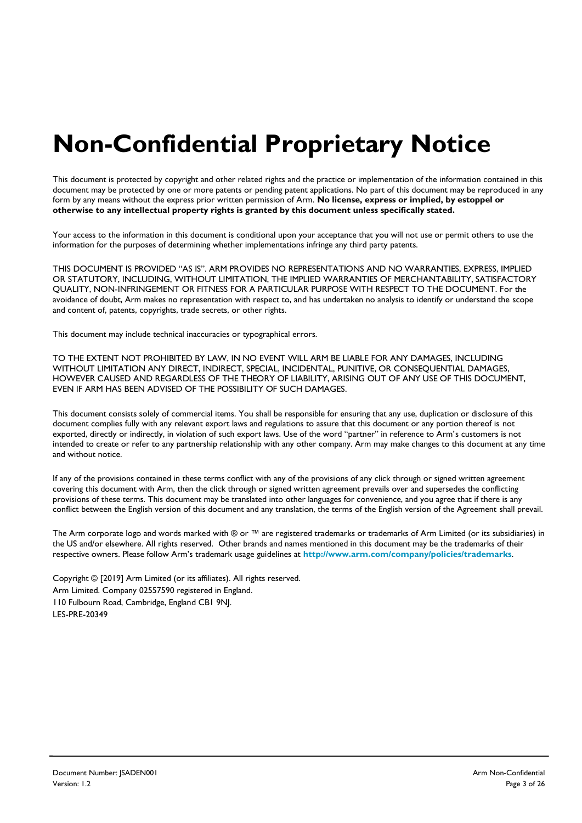# **Non-Confidential Proprietary Notice**

This document is protected by copyright and other related rights and the practice or implementation of the information contained in this document may be protected by one or more patents or pending patent applications. No part of this document may be reproduced in any form by any means without the express prior written permission of Arm. **No license, express or implied, by estoppel or otherwise to any intellectual property rights is granted by this document unless specifically stated.**

Your access to the information in this document is conditional upon your acceptance that you will not use or permit others to use the information for the purposes of determining whether implementations infringe any third party patents.

THIS DOCUMENT IS PROVIDED "AS IS". ARM PROVIDES NO REPRESENTATIONS AND NO WARRANTIES, EXPRESS, IMPLIED OR STATUTORY, INCLUDING, WITHOUT LIMITATION, THE IMPLIED WARRANTIES OF MERCHANTABILITY, SATISFACTORY QUALITY, NON-INFRINGEMENT OR FITNESS FOR A PARTICULAR PURPOSE WITH RESPECT TO THE DOCUMENT. For the avoidance of doubt, Arm makes no representation with respect to, and has undertaken no analysis to identify or understand the scope and content of, patents, copyrights, trade secrets, or other rights.

This document may include technical inaccuracies or typographical errors.

TO THE EXTENT NOT PROHIBITED BY LAW, IN NO EVENT WILL ARM BE LIABLE FOR ANY DAMAGES, INCLUDING WITHOUT LIMITATION ANY DIRECT, INDIRECT, SPECIAL, INCIDENTAL, PUNITIVE, OR CONSEQUENTIAL DAMAGES, HOWEVER CAUSED AND REGARDLESS OF THE THEORY OF LIABILITY, ARISING OUT OF ANY USE OF THIS DOCUMENT, EVEN IF ARM HAS BEEN ADVISED OF THE POSSIBILITY OF SUCH DAMAGES.

This document consists solely of commercial items. You shall be responsible for ensuring that any use, duplication or disclosure of this document complies fully with any relevant export laws and regulations to assure that this document or any portion thereof is not exported, directly or indirectly, in violation of such export laws. Use of the word "partner" in reference to Arm's customers is not intended to create or refer to any partnership relationship with any other company. Arm may make changes to this document at any time and without notice.

If any of the provisions contained in these terms conflict with any of the provisions of any click through or signed written agreement covering this document with Arm, then the click through or signed written agreement prevails over and supersedes the conflicting provisions of these terms. This document may be translated into other languages for convenience, and you agree that if there is any conflict between the English version of this document and any translation, the terms of the English version of the Agreement shall prevail.

The Arm corporate logo and words marked with ® or ™ are registered trademarks or trademarks of Arm Limited (or its subsidiaries) in the US and/or elsewhere. All rights reserved. Other brands and names mentioned in this document may be the trademarks of their respective owners. Please follow Arm's trademark usage guidelines at **<http://www.arm.com/company/policies/trademarks>**.

Copyright © [2019] Arm Limited (or its affiliates). All rights reserved. Arm Limited. Company 02557590 registered in England. 110 Fulbourn Road, Cambridge, England CB1 9NJ. LES-PRE-20349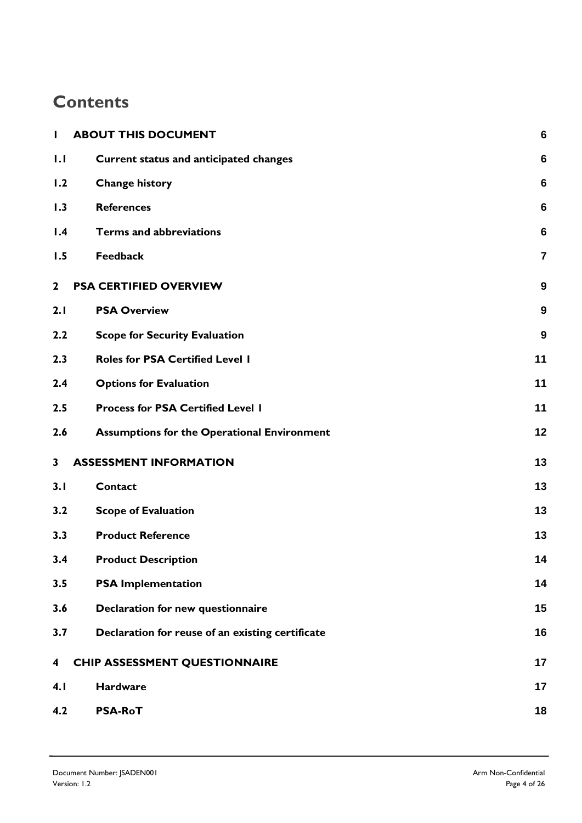## **Contents**

| $\mathbf{I}$ | <b>ABOUT THIS DOCUMENT</b>                         | $6\phantom{1}6$ |
|--------------|----------------------------------------------------|-----------------|
| 1.1          | Current status and anticipated changes             | 6               |
| 1.2          | <b>Change history</b>                              | 6               |
| 1.3          | <b>References</b>                                  | $6\phantom{1}6$ |
| 1.4          | <b>Terms and abbreviations</b>                     | $6\phantom{1}6$ |
| 1.5          | <b>Feedback</b>                                    | 7               |
| $\mathbf{2}$ | <b>PSA CERTIFIED OVERVIEW</b>                      | 9               |
| 2.1          | <b>PSA Overview</b>                                | 9               |
| 2.2          | <b>Scope for Security Evaluation</b>               | 9               |
| 2.3          | <b>Roles for PSA Certified Level I</b>             | 11              |
| 2.4          | <b>Options for Evaluation</b>                      | 11              |
| 2.5          | <b>Process for PSA Certified Level 1</b>           | 11              |
| 2.6          | <b>Assumptions for the Operational Environment</b> | 12              |
| 3            | <b>ASSESSMENT INFORMATION</b>                      | 13              |
| 3.1          | <b>Contact</b>                                     | 13              |
| 3.2          | <b>Scope of Evaluation</b>                         | 13              |
| 3.3          | <b>Product Reference</b>                           | 13              |
| 3.4          | <b>Product Description</b>                         | 14              |
| 3.5          | <b>PSA Implementation</b>                          | 14              |
| 3.6          | Declaration for new questionnaire                  | 15              |
| 3.7          | Declaration for reuse of an existing certificate   | 16              |
| 4            | <b>CHIP ASSESSMENT QUESTIONNAIRE</b>               | 17              |
| 4.1          | <b>Hardware</b>                                    | 17              |
| 4.2          | <b>PSA-RoT</b>                                     | 18              |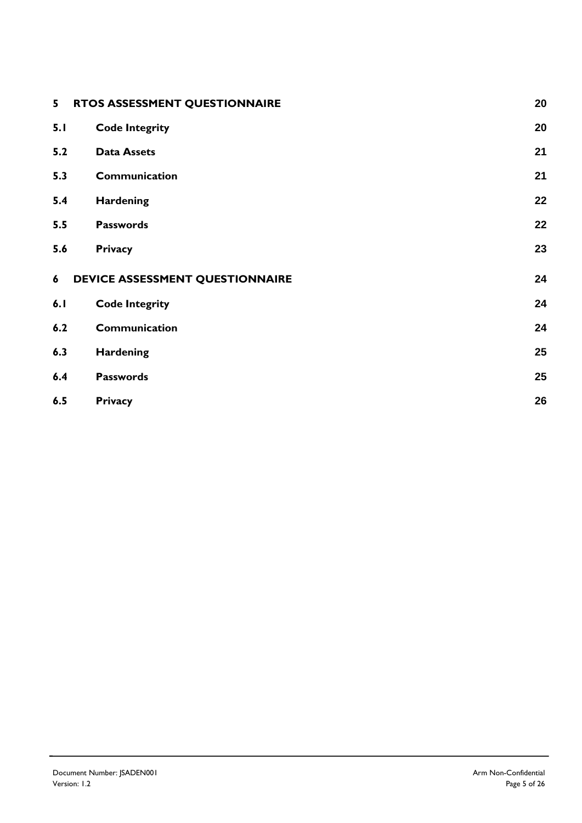| 5   | RTOS ASSESSMENT QUESTIONNAIRE<br>20   |    |  |
|-----|---------------------------------------|----|--|
| 5.1 | 20<br><b>Code Integrity</b>           |    |  |
| 5.2 | <b>Data Assets</b>                    | 21 |  |
| 5.3 | Communication                         | 21 |  |
| 5.4 | <b>Hardening</b>                      | 22 |  |
| 5.5 | <b>Passwords</b>                      | 22 |  |
| 5.6 | <b>Privacy</b>                        | 23 |  |
| 6   | DEVICE ASSESSMENT QUESTIONNAIRE<br>24 |    |  |
| 6.1 | <b>Code Integrity</b>                 | 24 |  |
| 6.2 | Communication                         | 24 |  |
| 6.3 | <b>Hardening</b>                      | 25 |  |
| 6.4 | <b>Passwords</b>                      | 25 |  |
| 6.5 | <b>Privacy</b>                        | 26 |  |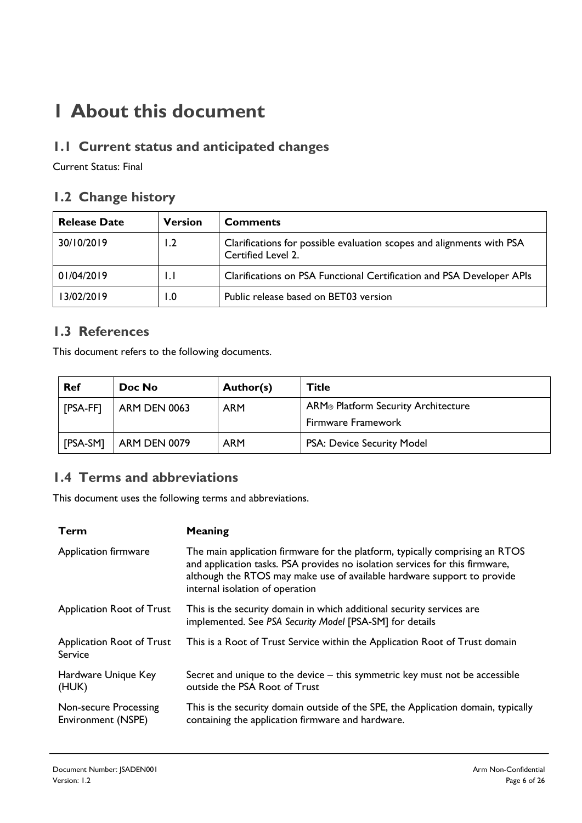## **1 About this document**

## **1.1 Current status and anticipated changes**

Current Status: Final

### **1.2 Change history**

| <b>Release Date</b> | <b>Version</b> | <b>Comments</b>                                                                             |
|---------------------|----------------|---------------------------------------------------------------------------------------------|
| 30/10/2019          | 1.2            | Clarifications for possible evaluation scopes and alignments with PSA<br>Certified Level 2. |
| 01/04/2019          |                | Clarifications on PSA Functional Certification and PSA Developer APIs                       |
| 13/02/2019          | I.O            | Public release based on BET03 version                                                       |

#### **1.3 References**

This document refers to the following documents.

| <b>Ref</b> | Doc No              | Author(s)  | Title                               |
|------------|---------------------|------------|-------------------------------------|
| [PSA-FF]   | <b>ARM DEN 0063</b> | <b>ARM</b> | ARM® Platform Security Architecture |
|            |                     |            | Firmware Framework                  |
| [PSA-SM]   | <b>ARM DEN 0079</b> | <b>ARM</b> | PSA: Device Security Model          |

### **1.4 Terms and abbreviations**

This document uses the following terms and abbreviations.

| Term                                        | Meaning                                                                                                                                                                                                                                                                    |
|---------------------------------------------|----------------------------------------------------------------------------------------------------------------------------------------------------------------------------------------------------------------------------------------------------------------------------|
| Application firmware                        | The main application firmware for the platform, typically comprising an RTOS<br>and application tasks. PSA provides no isolation services for this firmware,<br>although the RTOS may make use of available hardware support to provide<br>internal isolation of operation |
| Application Root of Trust                   | This is the security domain in which additional security services are<br>implemented. See PSA Security Model [PSA-SM] for details                                                                                                                                          |
| Application Root of Trust<br>Service        | This is a Root of Trust Service within the Application Root of Trust domain                                                                                                                                                                                                |
| Hardware Unique Key<br>(HUK)                | Secret and unique to the device – this symmetric key must not be accessible<br>outside the PSA Root of Trust                                                                                                                                                               |
| Non-secure Processing<br>Environment (NSPE) | This is the security domain outside of the SPE, the Application domain, typically<br>containing the application firmware and hardware.                                                                                                                                     |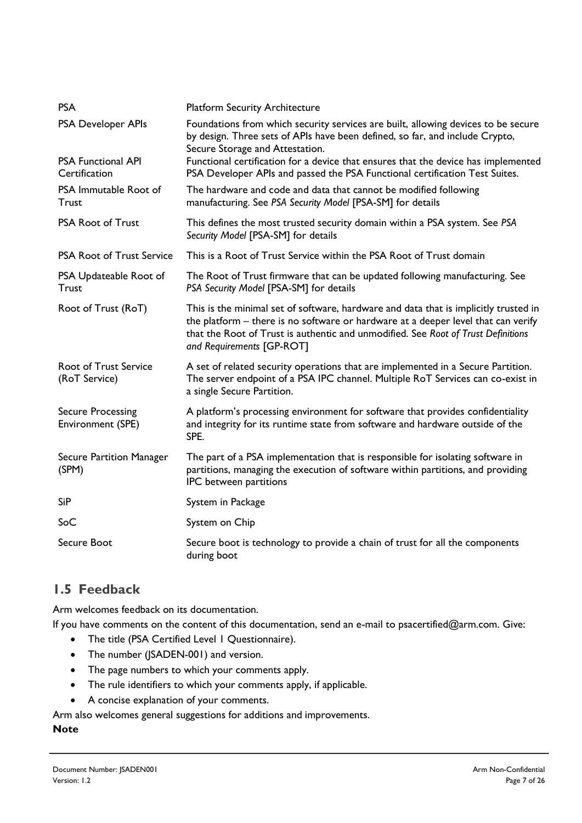| <b>PSA</b>                                    | <b>Platform Security Architecture</b>                                                                                                                                                                                                                                                       |
|-----------------------------------------------|---------------------------------------------------------------------------------------------------------------------------------------------------------------------------------------------------------------------------------------------------------------------------------------------|
| <b>PSA Developer APIs</b>                     | Foundations from which security services are built, allowing devices to be secure<br>by design. Three sets of APIs have been defined, so far, and include Crypto,<br>Secure Storage and Attestation.                                                                                        |
| <b>PSA Functional API</b><br>Certification    | Functional certification for a device that ensures that the device has implemented<br>PSA Developer APIs and passed the PSA Functional certification Test Suites.                                                                                                                           |
| PSA Immutable Root of<br><b>Trust</b>         | The hardware and code and data that cannot be modified following<br>manufacturing. See PSA Security Model [PSA-SM] for details                                                                                                                                                              |
| <b>PSA Root of Trust</b>                      | This defines the most trusted security domain within a PSA system. See PSA<br>Security Model [PSA-SM] for details                                                                                                                                                                           |
| <b>PSA Root of Trust Service</b>              | This is a Root of Trust Service within the PSA Root of Trust domain                                                                                                                                                                                                                         |
| PSA Updateable Root of<br>Trust               | The Root of Trust firmware that can be updated following manufacturing. See<br>PSA Security Model [PSA-SM] for details                                                                                                                                                                      |
| Root of Trust (RoT)                           | This is the minimal set of software, hardware and data that is implicitly trusted in<br>the platform - there is no software or hardware at a deeper level that can verify<br>that the Root of Trust is authentic and unmodified. See Root of Trust Definitions<br>and Requirements [GP-ROT] |
| <b>Root of Trust Service</b><br>(RoT Service) | A set of related security operations that are implemented in a Secure Partition.<br>The server endpoint of a PSA IPC channel. Multiple RoT Services can co-exist in<br>a single Secure Partition.                                                                                           |
| <b>Secure Processing</b><br>Environment (SPE) | A platform's processing environment for software that provides confidentiality<br>and integrity for its runtime state from software and hardware outside of the<br>SPE.                                                                                                                     |
| Secure Partition Manager<br>(SPM)             | The part of a PSA implementation that is responsible for isolating software in<br>partitions, managing the execution of software within partitions, and providing<br>IPC between partitions                                                                                                 |
| <b>SiP</b>                                    | System in Package                                                                                                                                                                                                                                                                           |
| SoC                                           | System on Chip                                                                                                                                                                                                                                                                              |
| Secure Boot                                   | Secure boot is technology to provide a chain of trust for all the components<br>during boot                                                                                                                                                                                                 |

## **1.5 Feedback**

Arm welcomes feedback on its documentation.

If you have comments on the content of this documentation, send an e-mail to psacertified@arm.com. Give:

- The title (PSA Certified Level 1 Questionnaire).
- The number (JSADEN-001) and version.
- The page numbers to which your comments apply.
- The rule identifiers to which your comments apply, if applicable.
- A concise explanation of your comments.

Arm also welcomes general suggestions for additions and improvements.

#### **Note**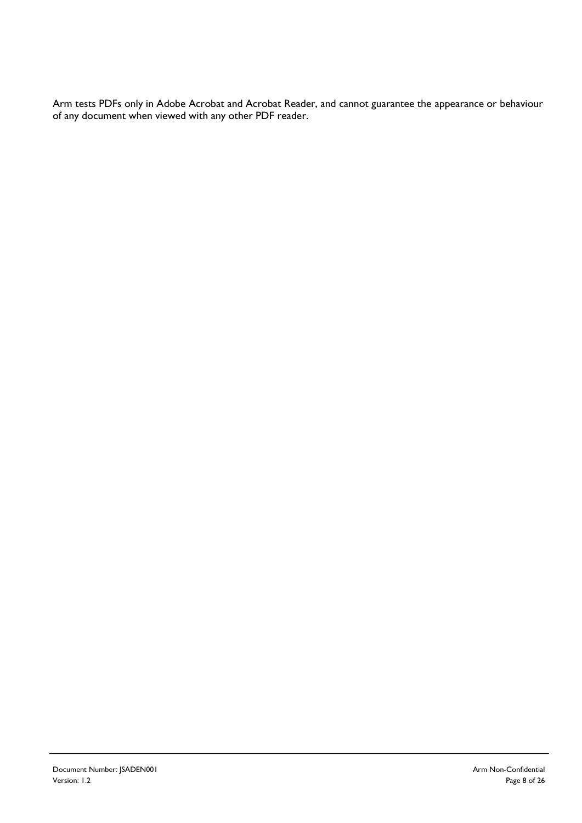Arm tests PDFs only in Adobe Acrobat and Acrobat Reader, and cannot guarantee the appearance or behaviour of any document when viewed with any other PDF reader.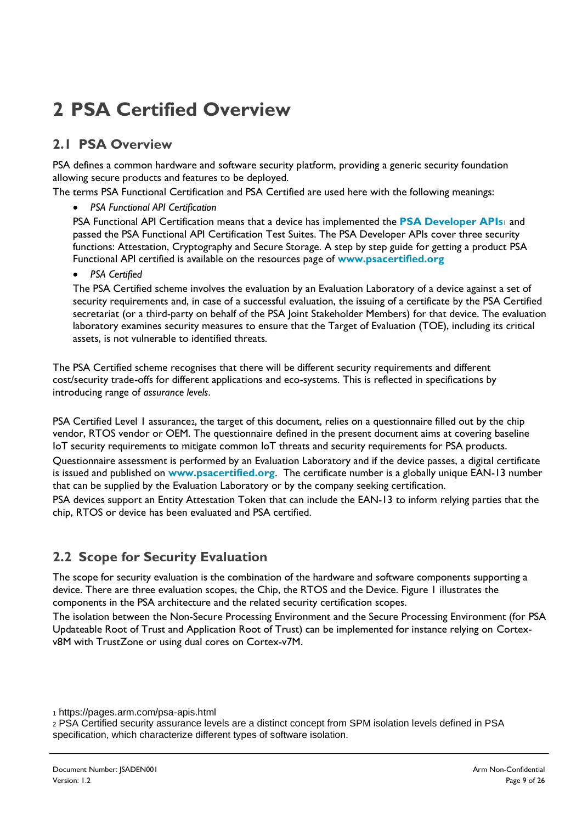# **2 PSA Certified Overview**

## **2.1 PSA Overview**

PSA defines a common hardware and software security platform, providing a generic security foundation allowing secure products and features to be deployed.

The terms PSA Functional Certification and PSA Certified are used here with the following meanings:

• *PSA Functional API Certification*

PSA Functional API Certification means that a device has implemented the **[PSA Developer APIs](https://pages.arm.com/psa-apis.html)**<sup>1</sup> and passed the PSA Functional API Certification Test Suites. The PSA Developer APIs cover three security functions: Attestation, Cryptography and Secure Storage. A step by step guide for getting a product PSA Functional API certified is available on the resources page of **[www.psacertified.org](http://www.psacertified.org/)**

• *PSA Certified*

The PSA Certified scheme involves the evaluation by an Evaluation Laboratory of a device against a set of security requirements and, in case of a successful evaluation, the issuing of a certificate by the PSA Certified secretariat (or a third-party on behalf of the PSA Joint Stakeholder Members) for that device. The evaluation laboratory examines security measures to ensure that the Target of Evaluation (TOE), including its critical assets, is not vulnerable to identified threats.

The PSA Certified scheme recognises that there will be different security requirements and different cost/security trade-offs for different applications and eco-systems. This is reflected in specifications by introducing range of *assurance levels*.

PSA Certified Level 1 assurance2, the target of this document, relies on a questionnaire filled out by the chip vendor, RTOS vendor or OEM. The questionnaire defined in the present document aims at covering baseline IoT security requirements to mitigate common IoT threats and security requirements for PSA products. Questionnaire assessment is performed by an Evaluation Laboratory and if the device passes, a digital certificate is issued and published on **[www.psacertified.org](http://www.psacertified.org/)**. The certificate number is a globally unique EAN-13 number that can be supplied by the Evaluation Laboratory or by the company seeking certification.

PSA devices support an Entity Attestation Token that can include the EAN-13 to inform relying parties that the chip, RTOS or device has been evaluated and PSA certified.

## **2.2 Scope for Security Evaluation**

The scope for security evaluation is the combination of the hardware and software components supporting a device. There are three evaluation scopes, the Chip, the RTOS and the Device. [Figure 1](#page-9-0) illustrates the components in the PSA architecture and the related security certification scopes.

The isolation between the Non-Secure Processing Environment and the Secure Processing Environment (for PSA Updateable Root of Trust and Application Root of Trust) can be implemented for instance relying on Cortexv8M with TrustZone or using dual cores on Cortex-v7M.

<sup>1</sup> https://pages.arm.com/psa-apis.html

<sup>2</sup> PSA Certified security assurance levels are a distinct concept from SPM isolation levels defined in PSA specification, which characterize different types of software isolation.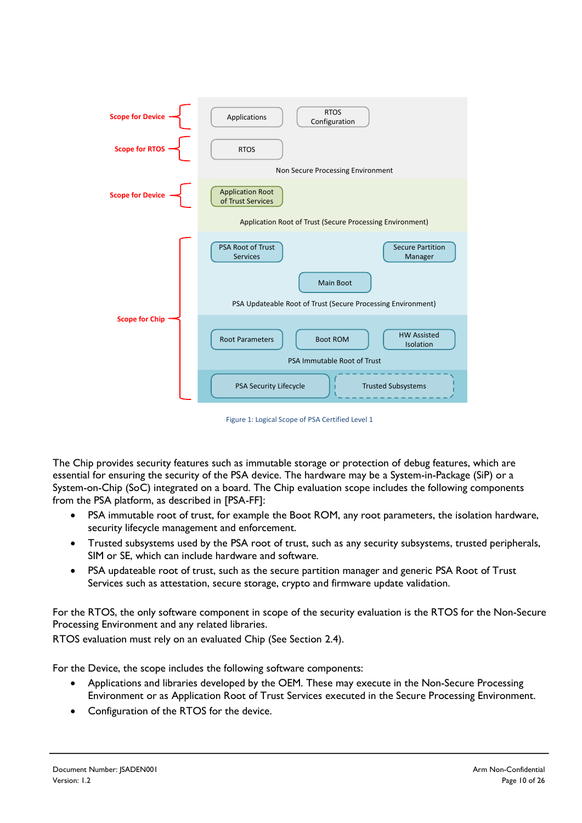| <b>Scope for Device</b> | <b>RTOS</b><br>Applications<br>Configuration                                                                                                                   |
|-------------------------|----------------------------------------------------------------------------------------------------------------------------------------------------------------|
| <b>Scope for RTOS</b>   | <b>RTOS</b><br>Non Secure Processing Environment                                                                                                               |
| <b>Scope for Device</b> | <b>Application Root</b><br>of Trust Services                                                                                                                   |
|                         | Application Root of Trust (Secure Processing Environment)                                                                                                      |
|                         | <b>PSA Root of Trust</b><br><b>Secure Partition</b><br><b>Services</b><br>Manager<br>Main Boot<br>PSA Updateable Root of Trust (Secure Processing Environment) |
| <b>Scope for Chip</b>   | <b>HW Assisted</b><br><b>Root Parameters</b><br><b>Boot ROM</b><br>Isolation<br>PSA Immutable Root of Trust                                                    |
|                         | PSA Security Lifecycle<br><b>Trusted Subsystems</b>                                                                                                            |

Figure 1: Logical Scope of PSA Certified Level 1

<span id="page-9-0"></span>The Chip provides security features such as immutable storage or protection of debug features, which are essential for ensuring the security of the PSA device. The hardware may be a System-in-Package (SiP) or a System-on-Chip (SoC) integrated on a board. The Chip evaluation scope includes the following components from the PSA platform, as described in [PSA-FF]:

- PSA immutable root of trust, for example the Boot ROM, any root parameters, the isolation hardware, security lifecycle management and enforcement.
- Trusted subsystems used by the PSA root of trust, such as any security subsystems, trusted peripherals, SIM or SE, which can include hardware and software.
- PSA updateable root of trust, such as the secure partition manager and generic PSA Root of Trust Services such as attestation, secure storage, crypto and firmware update validation.

For the RTOS, the only software component in scope of the security evaluation is the RTOS for the Non-Secure Processing Environment and any related libraries.

RTOS evaluation must rely on an evaluated Chip (See Section [2.4\)](#page-10-0).

For the Device, the scope includes the following software components:

- Applications and libraries developed by the OEM. These may execute in the Non-Secure Processing Environment or as Application Root of Trust Services executed in the Secure Processing Environment.
- Configuration of the RTOS for the device.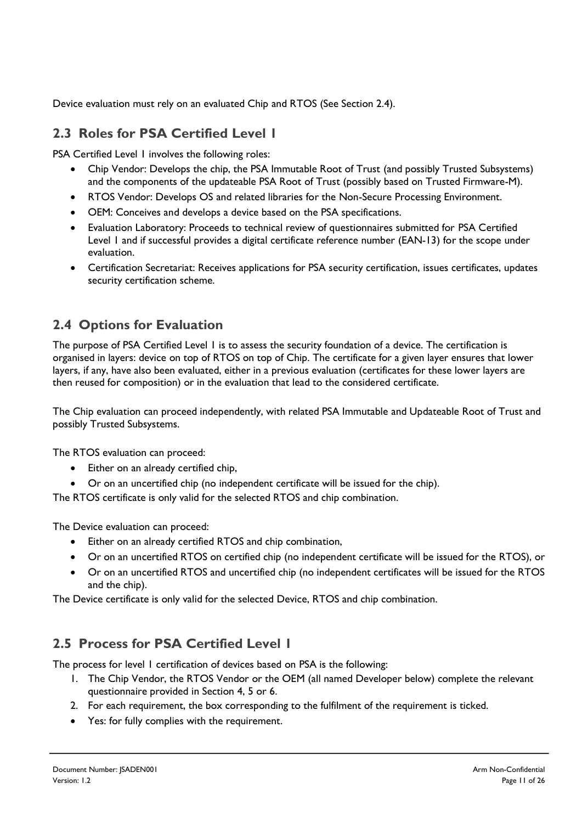Device evaluation must rely on an evaluated Chip and RTOS (See Section 2.4).

### **2.3 Roles for PSA Certified Level 1**

PSA Certified Level 1 involves the following roles:

- Chip Vendor: Develops the chip, the PSA Immutable Root of Trust (and possibly Trusted Subsystems) and the components of the updateable PSA Root of Trust (possibly based on Trusted Firmware-M).
- RTOS Vendor: Develops OS and related libraries for the Non-Secure Processing Environment.
- OEM: Conceives and develops a device based on the PSA specifications.
- Evaluation Laboratory: Proceeds to technical review of questionnaires submitted for PSA Certified Level 1 and if successful provides a digital certificate reference number (EAN-13) for the scope under evaluation.
- Certification Secretariat: Receives applications for PSA security certification, issues certificates, updates security certification scheme.

## <span id="page-10-0"></span>**2.4 Options for Evaluation**

The purpose of PSA Certified Level 1 is to assess the security foundation of a device. The certification is organised in layers: device on top of RTOS on top of Chip. The certificate for a given layer ensures that lower layers, if any, have also been evaluated, either in a previous evaluation (certificates for these lower layers are then reused for composition) or in the evaluation that lead to the considered certificate.

The Chip evaluation can proceed independently, with related PSA Immutable and Updateable Root of Trust and possibly Trusted Subsystems.

The RTOS evaluation can proceed:

- Either on an already certified chip,
- Or on an uncertified chip (no independent certificate will be issued for the chip).

The RTOS certificate is only valid for the selected RTOS and chip combination.

The Device evaluation can proceed:

- Either on an already certified RTOS and chip combination,
- Or on an uncertified RTOS on certified chip (no independent certificate will be issued for the RTOS), or
- Or on an uncertified RTOS and uncertified chip (no independent certificates will be issued for the RTOS and the chip).

The Device certificate is only valid for the selected Device, RTOS and chip combination.

#### **2.5 Process for PSA Certified Level 1**

The process for level 1 certification of devices based on PSA is the following:

- 1. The Chip Vendor, the RTOS Vendor or the OEM (all named Developer below) complete the relevant questionnaire provided in Section [4,](#page-16-0) [5](#page-19-0) or [6.](#page-23-0)
- 2. For each requirement, the box corresponding to the fulfilment of the requirement is ticked.
- Yes: for fully complies with the requirement.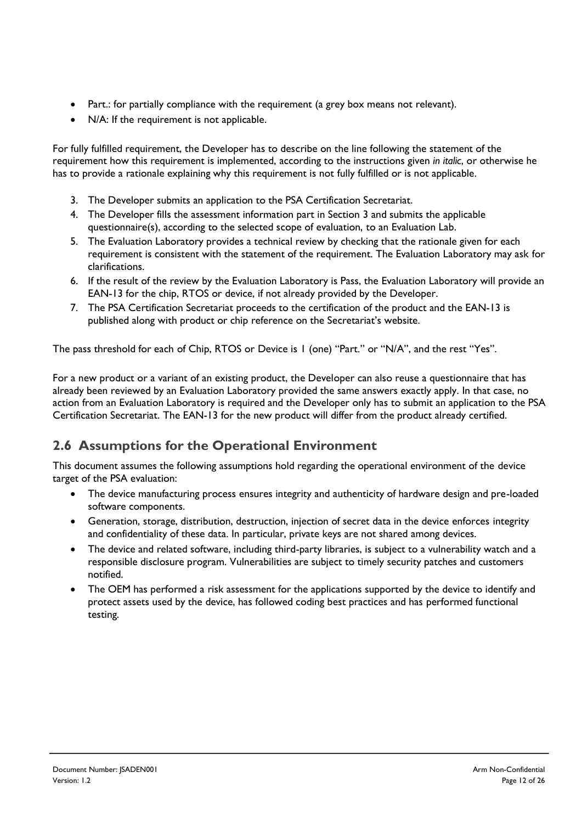- Part.: for partially compliance with the requirement (a grey box means not relevant).
- N/A: If the requirement is not applicable.

For fully fulfilled requirement, the Developer has to describe on the line following the statement of the requirement how this requirement is implemented, according to the instructions given *in italic*, or otherwise he has to provide a rationale explaining why this requirement is not fully fulfilled or is not applicable.

- 3. The Developer submits an application to the PSA Certification Secretariat.
- 4. The Developer fills the assessment information part in Section [3](#page-12-0) and submits the applicable questionnaire(s), according to the selected scope of evaluation, to an Evaluation Lab.
- 5. The Evaluation Laboratory provides a technical review by checking that the rationale given for each requirement is consistent with the statement of the requirement. The Evaluation Laboratory may ask for clarifications.
- 6. If the result of the review by the Evaluation Laboratory is Pass, the Evaluation Laboratory will provide an EAN-13 for the chip, RTOS or device, if not already provided by the Developer.
- 7. The PSA Certification Secretariat proceeds to the certification of the product and the EAN-13 is published along with product or chip reference on the Secretariat's website.

The pass threshold for each of Chip, RTOS or Device is 1 (one) "Part." or "N/A", and the rest "Yes".

For a new product or a variant of an existing product, the Developer can also reuse a questionnaire that has already been reviewed by an Evaluation Laboratory provided the same answers exactly apply. In that case, no action from an Evaluation Laboratory is required and the Developer only has to submit an application to the PSA Certification Secretariat. The EAN-13 for the new product will differ from the product already certified.

#### **2.6 Assumptions for the Operational Environment**

This document assumes the following assumptions hold regarding the operational environment of the device target of the PSA evaluation:

- The device manufacturing process ensures integrity and authenticity of hardware design and pre-loaded software components.
- Generation, storage, distribution, destruction, injection of secret data in the device enforces integrity and confidentiality of these data. In particular, private keys are not shared among devices.
- The device and related software, including third-party libraries, is subject to a vulnerability watch and a responsible disclosure program. Vulnerabilities are subject to timely security patches and customers notified.
- The OEM has performed a risk assessment for the applications supported by the device to identify and protect assets used by the device, has followed coding best practices and has performed functional testing.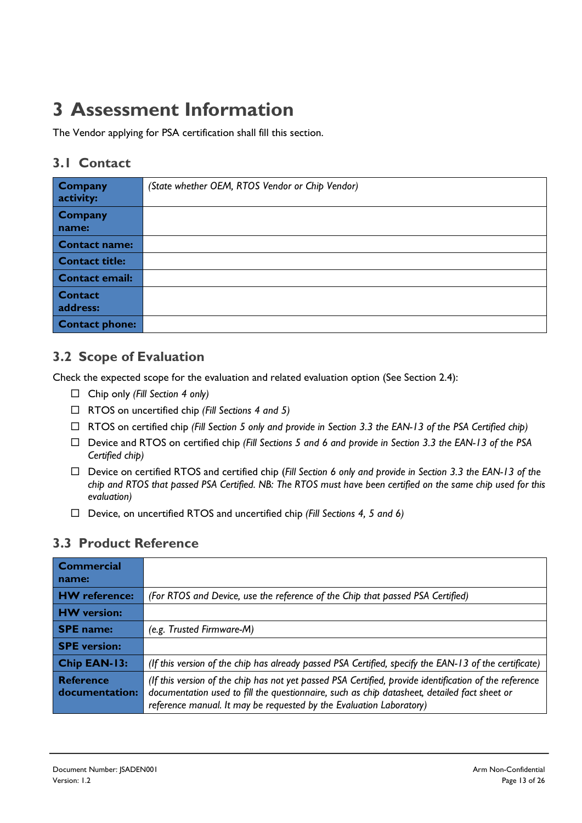## <span id="page-12-0"></span>**3 Assessment Information**

The Vendor applying for PSA certification shall fill this section.

#### <span id="page-12-2"></span>**3.1 Contact**

| <b>Company</b><br>activity: | (State whether OEM, RTOS Vendor or Chip Vendor) |
|-----------------------------|-------------------------------------------------|
| Company<br>name:            |                                                 |
| <b>Contact name:</b>        |                                                 |
| <b>Contact title:</b>       |                                                 |
| <b>Contact email:</b>       |                                                 |
| <b>Contact</b><br>address:  |                                                 |
| <b>Contact phone:</b>       |                                                 |

#### <span id="page-12-3"></span>**3.2 Scope of Evaluation**

Check the expected scope for the evaluation and related evaluation option (See Section [2.4\)](#page-10-0):

- Chip only *(Fill Section [4](#page-16-0) only)*
- RTOS on uncertified chip *(Fill Sections [4](#page-16-0) and [5\)](#page-19-0)*
- RTOS on certified chip *(Fill Section [5](#page-19-0) only and provide in Section [3.3](#page-12-1) the EAN-13 of the PSA Certified chip)*
- Device and RTOS on certified chip *(Fill Sections [5](#page-19-0) and [6](#page-23-0) and provide in Section [3.3](#page-12-1) the EAN-13 of the PSA Certified chip)*
- Device on certified RTOS and certified chip (*Fill Section [6](#page-23-0) only and provide in Section [3.3](#page-12-1) the EAN-13 of the chip and RTOS that passed PSA Certified. NB: The RTOS must have been certified on the same chip used for this evaluation)*
- Device, on uncertified RTOS and uncertified chip *(Fill Sections [4,](#page-16-0) [5](#page-19-0) and [6\)](#page-23-0)*

#### <span id="page-12-1"></span>**3.3 Product Reference**

| <b>Commercial</b><br>name:         |                                                                                                                                                                                                                                                                               |
|------------------------------------|-------------------------------------------------------------------------------------------------------------------------------------------------------------------------------------------------------------------------------------------------------------------------------|
| <b>HW</b> reference:               | (For RTOS and Device, use the reference of the Chip that passed PSA Certified)                                                                                                                                                                                                |
| <b>HW</b> version:                 |                                                                                                                                                                                                                                                                               |
| <b>SPE</b> name:                   | (e.g. Trusted Firmware-M)                                                                                                                                                                                                                                                     |
| <b>SPE</b> version:                |                                                                                                                                                                                                                                                                               |
| <b>Chip EAN-13:</b>                | (If this version of the chip has already passed PSA Certified, specify the EAN-13 of the certificate)                                                                                                                                                                         |
| <b>Reference</b><br>documentation: | (If this version of the chip has not yet passed PSA Certified, provide identification of the reference<br>documentation used to fill the questionnaire, such as chip datasheet, detailed fact sheet or<br>reference manual. It may be requested by the Evaluation Laboratory) |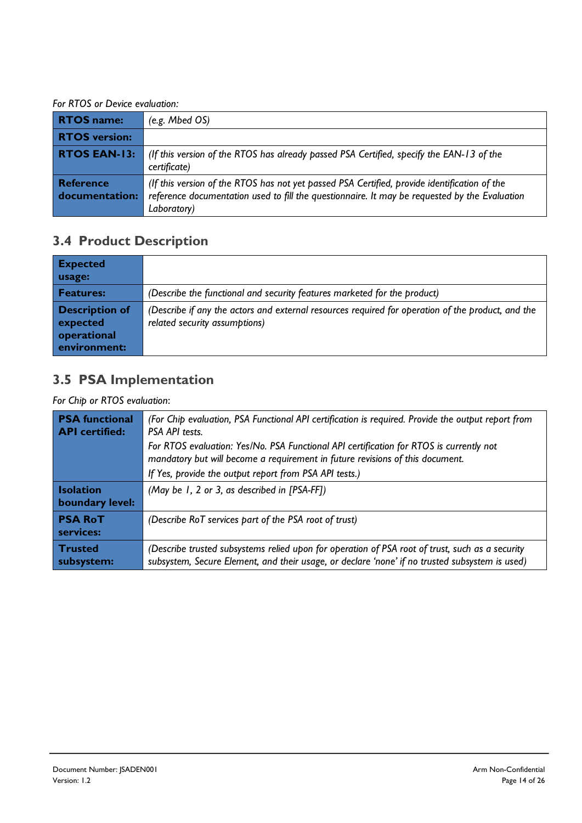*For RTOS or Device evaluation:*

| <b>RTOS name:</b>                  | (e.g. Mbed OS)                                                                                                                                                                                               |  |
|------------------------------------|--------------------------------------------------------------------------------------------------------------------------------------------------------------------------------------------------------------|--|
| <b>RTOS version:</b>               |                                                                                                                                                                                                              |  |
| <b>RTOS EAN-13:</b>                | (If this version of the RTOS has already passed PSA Certified, specify the EAN-13 of the<br>certificate)                                                                                                     |  |
| <b>Reference</b><br>documentation: | (If this version of the RTOS has not yet passed PSA Certified, provide identification of the<br>reference documentation used to fill the questionnaire. It may be requested by the Evaluation<br>Laboratory) |  |

## **3.4 Product Description**

| <b>Expected</b><br>usage:                                        |                                                                                                                                    |
|------------------------------------------------------------------|------------------------------------------------------------------------------------------------------------------------------------|
| <b>Features:</b>                                                 | (Describe the functional and security features marketed for the product)                                                           |
| <b>Description of</b><br>expected<br>operational<br>environment: | (Describe if any the actors and external resources required for operation of the product, and the<br>related security assumptions) |

## **3.5 PSA Implementation**

*For Chip or RTOS evaluation*:

| <b>PSA</b> functional<br><b>API</b> certified: | (For Chip evaluation, PSA Functional API certification is required. Provide the output report from<br><b>PSA API tests</b><br>For RTOS evaluation: Yes/No. PSA Functional API certification for RTOS is currently not<br>mandatory but will become a requirement in future revisions of this document.<br>If Yes, provide the output report from PSA API tests.) |  |
|------------------------------------------------|------------------------------------------------------------------------------------------------------------------------------------------------------------------------------------------------------------------------------------------------------------------------------------------------------------------------------------------------------------------|--|
| Isolation<br>boundary level:                   | (May be $1, 2$ or 3, as described in $[PSA-FF]$ )                                                                                                                                                                                                                                                                                                                |  |
| <b>PSA RoT</b><br>services:                    | (Describe RoT services part of the PSA root of trust)                                                                                                                                                                                                                                                                                                            |  |
| Trusted<br>subsystem:                          | (Describe trusted subsystems relied upon for operation of PSA root of trust, such as a security<br>subsystem, Secure Element, and their usage, or declare 'none' if no trusted subsystem is used)                                                                                                                                                                |  |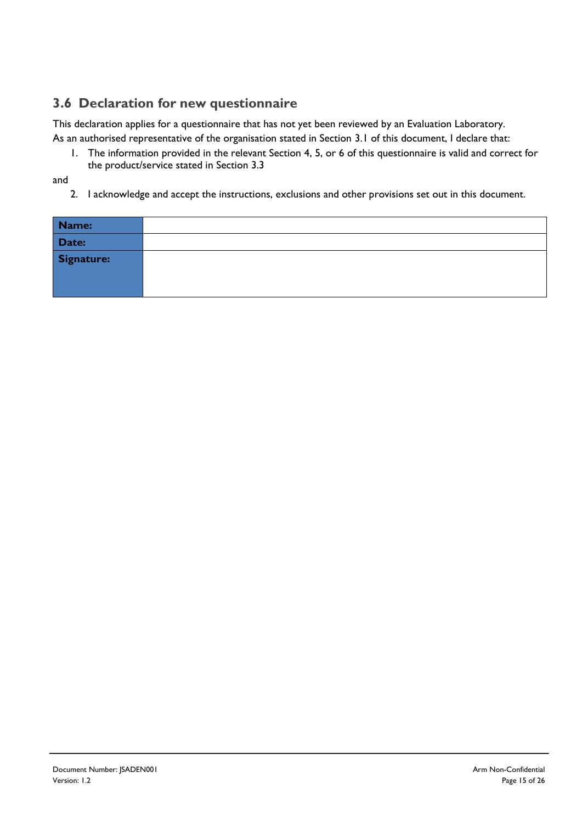## **3.6 Declaration for new questionnaire**

This declaration applies for a questionnaire that has not yet been reviewed by an Evaluation Laboratory.

As an authorised representative of the organisation stated in Section [3.1](#page-12-2) of this document, I declare that:

1. The information provided in the relevant Section [4,](#page-16-0) [5,](#page-19-0) or [6](#page-23-0) of this questionnaire is valid and correct for the product/service stated in Section [3.3](#page-12-1)

and

2. I acknowledge and accept the instructions, exclusions and other provisions set out in this document.

| Name:      |  |
|------------|--|
| Date:      |  |
| Signature: |  |
|            |  |
|            |  |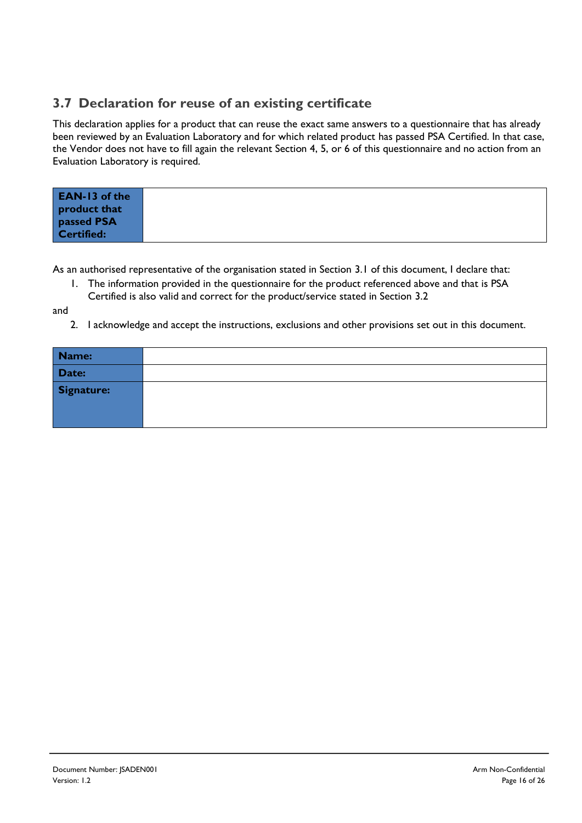### **3.7 Declaration for reuse of an existing certificate**

This declaration applies for a product that can reuse the exact same answers to a questionnaire that has already been reviewed by an Evaluation Laboratory and for which related product has passed PSA Certified. In that case, the Vendor does not have to fill again the relevant Section [4,](#page-16-0) [5,](#page-19-0) or [6](#page-23-0) of this questionnaire and no action from an Evaluation Laboratory is required.

| <b>EAN-13 of the</b><br>product that<br>passed PSA |  |
|----------------------------------------------------|--|
| Certified:                                         |  |

As an authorised representative of the organisation stated in Section [3.1](#page-12-2) of this document, I declare that:

1. The information provided in the questionnaire for the product referenced above and that is PSA Certified is also valid and correct for the product/service stated in Section [3.2](#page-12-3)

and

2. I acknowledge and accept the instructions, exclusions and other provisions set out in this document.

| Name:      |  |
|------------|--|
| Date:      |  |
| Signature: |  |
|            |  |
|            |  |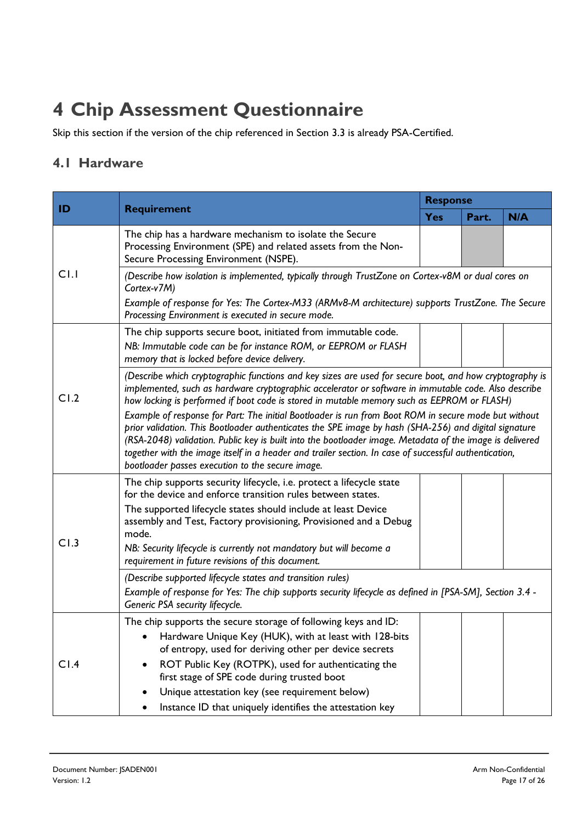# <span id="page-16-0"></span>**4 Chip Assessment Questionnaire**

Skip this section if the version of the chip referenced in Section [3.3](#page-12-1) is already PSA-Certified.

### **4.1 Hardware**

| ID   | <b>Requirement</b>                                                                                                                                                                                                                                                                                                                                                                                                                                                                                                                                                                                                                                                                                                                                                                                      | <b>Response</b> |       |     |  |
|------|---------------------------------------------------------------------------------------------------------------------------------------------------------------------------------------------------------------------------------------------------------------------------------------------------------------------------------------------------------------------------------------------------------------------------------------------------------------------------------------------------------------------------------------------------------------------------------------------------------------------------------------------------------------------------------------------------------------------------------------------------------------------------------------------------------|-----------------|-------|-----|--|
|      |                                                                                                                                                                                                                                                                                                                                                                                                                                                                                                                                                                                                                                                                                                                                                                                                         | <b>Yes</b>      | Part. | N/A |  |
| C1.1 | The chip has a hardware mechanism to isolate the Secure<br>Processing Environment (SPE) and related assets from the Non-<br>Secure Processing Environment (NSPE).                                                                                                                                                                                                                                                                                                                                                                                                                                                                                                                                                                                                                                       |                 |       |     |  |
|      | (Describe how isolation is implemented, typically through TrustZone on Cortex-v8M or dual cores on<br>Cortex-v7M)<br>Example of response for Yes: The Cortex-M33 (ARMv8-M architecture) supports TrustZone. The Secure<br>Processing Environment is executed in secure mode.                                                                                                                                                                                                                                                                                                                                                                                                                                                                                                                            |                 |       |     |  |
|      | The chip supports secure boot, initiated from immutable code.<br>NB: Immutable code can be for instance ROM, or EEPROM or FLASH<br>memory that is locked before device delivery.                                                                                                                                                                                                                                                                                                                                                                                                                                                                                                                                                                                                                        |                 |       |     |  |
| CI.2 | (Describe which cryptographic functions and key sizes are used for secure boot, and how cryptography is<br>implemented, such as hardware cryptographic accelerator or software in immutable code. Also describe<br>how locking is performed if boot code is stored in mutable memory such as EEPROM or FLASH)<br>Example of response for Part: The initial Bootloader is run from Boot ROM in secure mode but without<br>prior validation. This Bootloader authenticates the SPE image by hash (SHA-256) and digital signature<br>(RSA-2048) validation. Public key is built into the bootloader image. Metadata of the image is delivered<br>together with the image itself in a header and trailer section. In case of successful authentication,<br>bootloader passes execution to the secure image. |                 |       |     |  |
| CI.3 | The chip supports security lifecycle, i.e. protect a lifecycle state<br>for the device and enforce transition rules between states.<br>The supported lifecycle states should include at least Device<br>assembly and Test, Factory provisioning, Provisioned and a Debug<br>mode.<br>NB: Security lifecycle is currently not mandatory but will become a<br>requirement in future revisions of this document.<br>(Describe supported lifecycle states and transition rules)                                                                                                                                                                                                                                                                                                                             |                 |       |     |  |
|      | Example of response for Yes: The chip supports security lifecycle as defined in [PSA-SM], Section 3.4 -<br>Generic PSA security lifecycle.                                                                                                                                                                                                                                                                                                                                                                                                                                                                                                                                                                                                                                                              |                 |       |     |  |
| CI.4 | The chip supports the secure storage of following keys and ID:<br>Hardware Unique Key (HUK), with at least with 128-bits<br>of entropy, used for deriving other per device secrets<br>ROT Public Key (ROTPK), used for authenticating the<br>first stage of SPE code during trusted boot<br>Unique attestation key (see requirement below)<br>Instance ID that uniquely identifies the attestation key                                                                                                                                                                                                                                                                                                                                                                                                  |                 |       |     |  |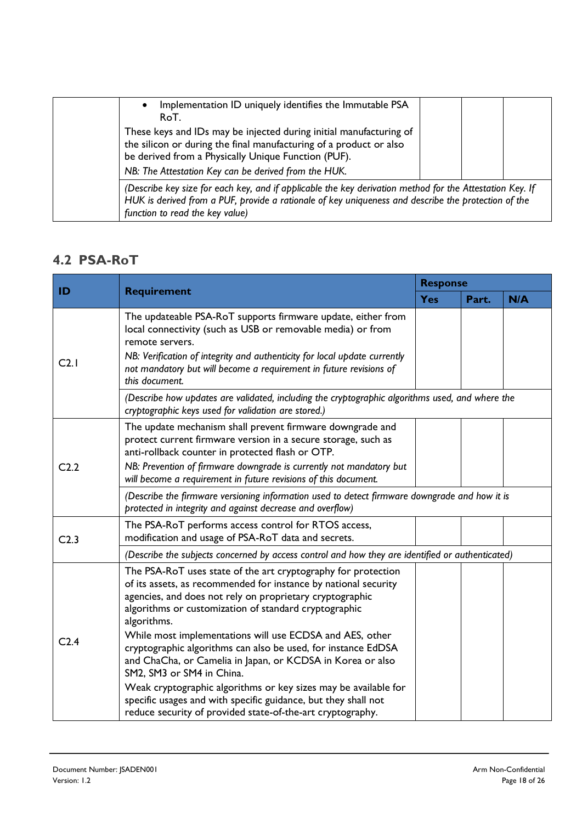| $\bullet$ | Implementation ID uniquely identifies the Immutable PSA<br>RoT.                                                                                                                                                                                         |  |  |  |
|-----------|---------------------------------------------------------------------------------------------------------------------------------------------------------------------------------------------------------------------------------------------------------|--|--|--|
|           | These keys and IDs may be injected during initial manufacturing of<br>the silicon or during the final manufacturing of a product or also<br>be derived from a Physically Unique Function (PUF).<br>NB: The Attestation Key can be derived from the HUK. |  |  |  |
|           | (Describe key size for each key, and if applicable the key derivation method for the Attestation Key. If<br>HUK is derived from a PUF, provide a rationale of key uniqueness and describe the protection of the<br>function to read the key value)      |  |  |  |

### **4.2 PSA-RoT**

| ID               |                                                                                                                                                                                                                                                                                                                                                                                                                                                                                                                                                                                                                                                                                                 | <b>Response</b> |       |     |  |  |
|------------------|-------------------------------------------------------------------------------------------------------------------------------------------------------------------------------------------------------------------------------------------------------------------------------------------------------------------------------------------------------------------------------------------------------------------------------------------------------------------------------------------------------------------------------------------------------------------------------------------------------------------------------------------------------------------------------------------------|-----------------|-------|-----|--|--|
|                  | <b>Requirement</b>                                                                                                                                                                                                                                                                                                                                                                                                                                                                                                                                                                                                                                                                              | <b>Yes</b>      | Part. | N/A |  |  |
| C2.1             | The updateable PSA-RoT supports firmware update, either from<br>local connectivity (such as USB or removable media) or from<br>remote servers.<br>NB: Verification of integrity and authenticity for local update currently<br>not mandatory but will become a requirement in future revisions of<br>this document.                                                                                                                                                                                                                                                                                                                                                                             |                 |       |     |  |  |
|                  | (Describe how updates are validated, including the cryptographic algorithms used, and where the<br>cryptographic keys used for validation are stored.)                                                                                                                                                                                                                                                                                                                                                                                                                                                                                                                                          |                 |       |     |  |  |
| C <sub>2.2</sub> | The update mechanism shall prevent firmware downgrade and<br>protect current firmware version in a secure storage, such as<br>anti-rollback counter in protected flash or OTP.<br>NB: Prevention of firmware downgrade is currently not mandatory but<br>will become a requirement in future revisions of this document.                                                                                                                                                                                                                                                                                                                                                                        |                 |       |     |  |  |
|                  | (Describe the firmware versioning information used to detect firmware downgrade and how it is<br>protected in integrity and against decrease and overflow)                                                                                                                                                                                                                                                                                                                                                                                                                                                                                                                                      |                 |       |     |  |  |
| C <sub>2.3</sub> | The PSA-RoT performs access control for RTOS access,<br>modification and usage of PSA-RoT data and secrets.                                                                                                                                                                                                                                                                                                                                                                                                                                                                                                                                                                                     |                 |       |     |  |  |
|                  | (Describe the subjects concerned by access control and how they are identified or authenticated)                                                                                                                                                                                                                                                                                                                                                                                                                                                                                                                                                                                                |                 |       |     |  |  |
| C <sub>2.4</sub> | The PSA-RoT uses state of the art cryptography for protection<br>of its assets, as recommended for instance by national security<br>agencies, and does not rely on proprietary cryptographic<br>algorithms or customization of standard cryptographic<br>algorithms.<br>While most implementations will use ECDSA and AES, other<br>cryptographic algorithms can also be used, for instance EdDSA<br>and ChaCha, or Camelia in Japan, or KCDSA in Korea or also<br>SM2, SM3 or SM4 in China.<br>Weak cryptographic algorithms or key sizes may be available for<br>specific usages and with specific guidance, but they shall not<br>reduce security of provided state-of-the-art cryptography. |                 |       |     |  |  |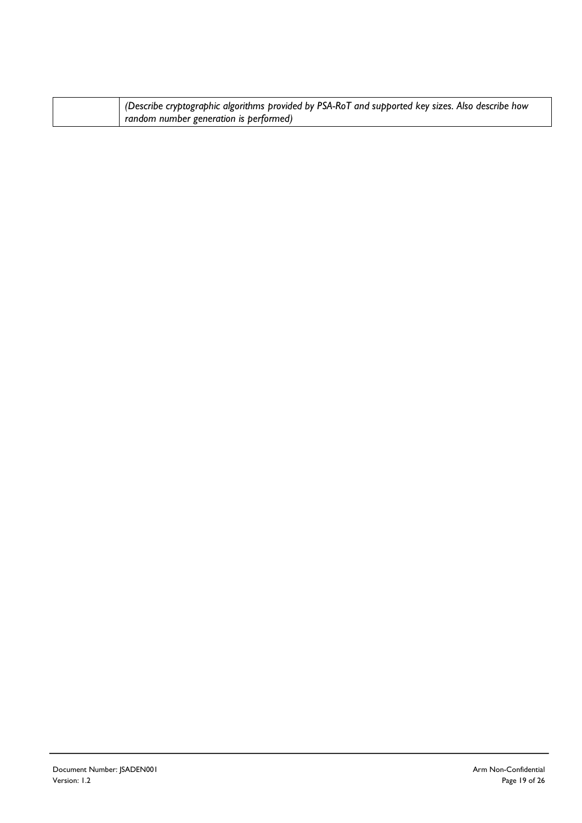|  | (Describe cryptographic algorithms provided by PSA-RoT and supported key sizes. Also describe how |
|--|---------------------------------------------------------------------------------------------------|
|  | random number generation is performed)                                                            |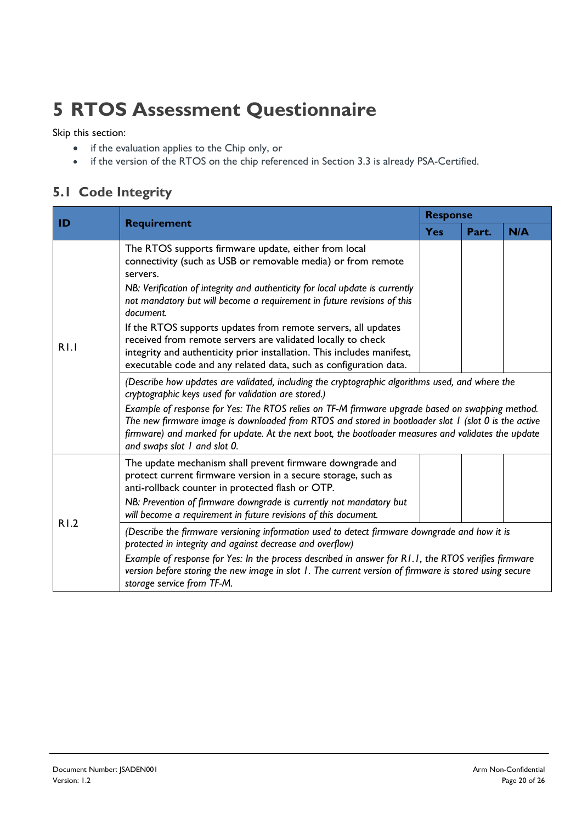# <span id="page-19-0"></span>**5 RTOS Assessment Questionnaire**

Skip this section:

- if the evaluation applies to the Chip only, or
- if the version of the RTOS on the chip referenced in Section [3.3](#page-12-1) is already PSA-Certified.

## **5.1 Code Integrity**

| ID   | <b>Requirement</b>                                                                                                                                                                                                                                                                                                                                                                                                                                                                                                                                                                                                                                                                         | <b>Response</b> |       |     |  |
|------|--------------------------------------------------------------------------------------------------------------------------------------------------------------------------------------------------------------------------------------------------------------------------------------------------------------------------------------------------------------------------------------------------------------------------------------------------------------------------------------------------------------------------------------------------------------------------------------------------------------------------------------------------------------------------------------------|-----------------|-------|-----|--|
|      |                                                                                                                                                                                                                                                                                                                                                                                                                                                                                                                                                                                                                                                                                            | <b>Yes</b>      | Part. | N/A |  |
| R1.1 | The RTOS supports firmware update, either from local<br>connectivity (such as USB or removable media) or from remote<br>servers.<br>NB: Verification of integrity and authenticity for local update is currently<br>not mandatory but will become a requirement in future revisions of this<br>document.<br>If the RTOS supports updates from remote servers, all updates<br>received from remote servers are validated locally to check<br>integrity and authenticity prior installation. This includes manifest,<br>executable code and any related data, such as configuration data.<br>(Describe how updates are validated, including the cryptographic algorithms used, and where the |                 |       |     |  |
|      | cryptographic keys used for validation are stored.)<br>Example of response for Yes: The RTOS relies on TF-M firmware upgrade based on swapping method.<br>The new firmware image is downloaded from RTOS and stored in bootloader slot I (slot 0 is the active<br>firmware) and marked for update. At the next boot, the bootloader measures and validates the update<br>and swaps slot I and slot 0.                                                                                                                                                                                                                                                                                      |                 |       |     |  |
| R1.2 | The update mechanism shall prevent firmware downgrade and<br>protect current firmware version in a secure storage, such as<br>anti-rollback counter in protected flash or OTP.<br>NB: Prevention of firmware downgrade is currently not mandatory but<br>will become a requirement in future revisions of this document.                                                                                                                                                                                                                                                                                                                                                                   |                 |       |     |  |
|      | (Describe the firmware versioning information used to detect firmware downgrade and how it is<br>protected in integrity and against decrease and overflow)<br>Example of response for Yes: In the process described in answer for R1.1, the RTOS verifies firmware<br>version before storing the new image in slot 1. The current version of firmware is stored using secure<br>storage service from TF-M.                                                                                                                                                                                                                                                                                 |                 |       |     |  |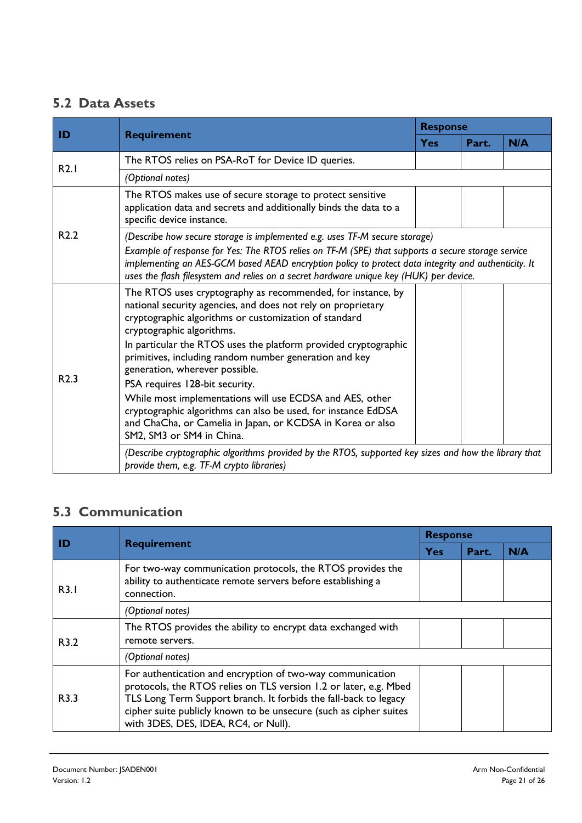## **5.2 Data Assets**

|                  | <b>Requirement</b>                                                                                                                                                                                                                                                                                                                                                                                                                                                                                                                                                                                                                         | <b>Response</b> |       |     |  |
|------------------|--------------------------------------------------------------------------------------------------------------------------------------------------------------------------------------------------------------------------------------------------------------------------------------------------------------------------------------------------------------------------------------------------------------------------------------------------------------------------------------------------------------------------------------------------------------------------------------------------------------------------------------------|-----------------|-------|-----|--|
| ID               |                                                                                                                                                                                                                                                                                                                                                                                                                                                                                                                                                                                                                                            | <b>Yes</b>      | Part. | N/A |  |
| R2.1             | The RTOS relies on PSA-RoT for Device ID queries.                                                                                                                                                                                                                                                                                                                                                                                                                                                                                                                                                                                          |                 |       |     |  |
|                  | (Optional notes)                                                                                                                                                                                                                                                                                                                                                                                                                                                                                                                                                                                                                           |                 |       |     |  |
| R <sub>2.2</sub> | The RTOS makes use of secure storage to protect sensitive<br>application data and secrets and additionally binds the data to a<br>specific device instance.                                                                                                                                                                                                                                                                                                                                                                                                                                                                                |                 |       |     |  |
|                  | (Describe how secure storage is implemented e.g. uses TF-M secure storage)<br>Example of response for Yes: The RTOS relies on TF-M (SPE) that supports a secure storage service<br>implementing an AES-GCM based AEAD encryption policy to protect data integrity and authenticity. It<br>uses the flash filesystem and relies on a secret hardware unique key (HUK) per device.                                                                                                                                                                                                                                                           |                 |       |     |  |
| R <sub>2.3</sub> | The RTOS uses cryptography as recommended, for instance, by<br>national security agencies, and does not rely on proprietary<br>cryptographic algorithms or customization of standard<br>cryptographic algorithms.<br>In particular the RTOS uses the platform provided cryptographic<br>primitives, including random number generation and key<br>generation, wherever possible.<br>PSA requires 128-bit security.<br>While most implementations will use ECDSA and AES, other<br>cryptographic algorithms can also be used, for instance EdDSA<br>and ChaCha, or Camelia in Japan, or KCDSA in Korea or also<br>SM2, SM3 or SM4 in China. |                 |       |     |  |
|                  | (Describe cryptographic algorithms provided by the RTOS, supported key sizes and how the library that<br>provide them, e.g. TF-M crypto libraries)                                                                                                                                                                                                                                                                                                                                                                                                                                                                                         |                 |       |     |  |

## **5.3 Communication**

|      | <b>Requirement</b>                                                                                                                                                                                                                                                                                               | <b>Response</b> |       |     |
|------|------------------------------------------------------------------------------------------------------------------------------------------------------------------------------------------------------------------------------------------------------------------------------------------------------------------|-----------------|-------|-----|
| ID   |                                                                                                                                                                                                                                                                                                                  | <b>Yes</b>      | Part. | N/A |
| R3.1 | For two-way communication protocols, the RTOS provides the<br>ability to authenticate remote servers before establishing a<br>connection.                                                                                                                                                                        |                 |       |     |
|      | (Optional notes)                                                                                                                                                                                                                                                                                                 |                 |       |     |
| R3.2 | The RTOS provides the ability to encrypt data exchanged with<br>remote servers.                                                                                                                                                                                                                                  |                 |       |     |
|      | (Optional notes)                                                                                                                                                                                                                                                                                                 |                 |       |     |
| R3.3 | For authentication and encryption of two-way communication<br>protocols, the RTOS relies on TLS version 1.2 or later, e.g. Mbed<br>TLS Long Term Support branch. It forbids the fall-back to legacy<br>cipher suite publicly known to be unsecure (such as cipher suites<br>with 3DES, DES, IDEA, RC4, or Null). |                 |       |     |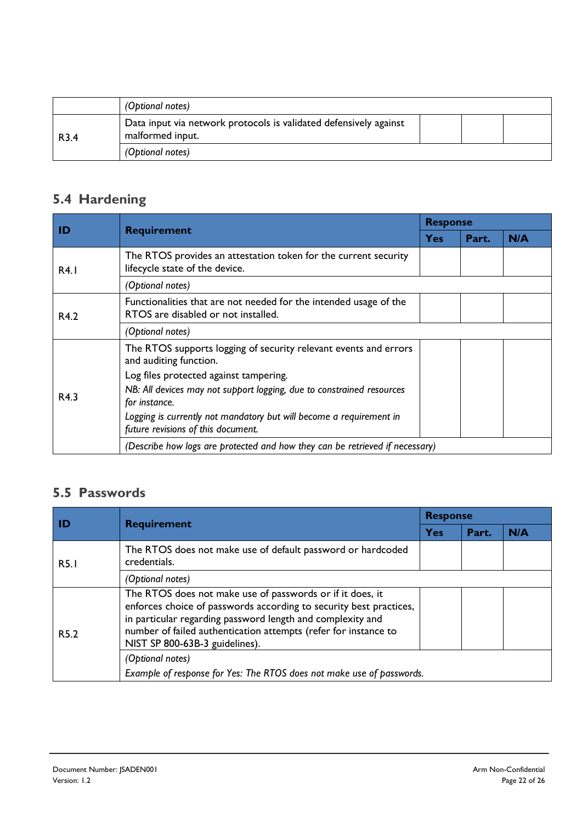|                  | (Optional notes)                                                                      |  |  |
|------------------|---------------------------------------------------------------------------------------|--|--|
| R <sub>3.4</sub> | Data input via network protocols is validated defensively against<br>malformed input. |  |  |
|                  | (Optional notes)                                                                      |  |  |

## **5.4 Hardening**

| ID   | <b>Requirement</b>                                                                                        | <b>Response</b> |       |     |
|------|-----------------------------------------------------------------------------------------------------------|-----------------|-------|-----|
|      |                                                                                                           | <b>Yes</b>      | Part. | N/A |
| R4.1 | The RTOS provides an attestation token for the current security<br>lifecycle state of the device.         |                 |       |     |
|      | (Optional notes)                                                                                          |                 |       |     |
| R4.2 | Functionalities that are not needed for the intended usage of the<br>RTOS are disabled or not installed.  |                 |       |     |
|      | (Optional notes)                                                                                          |                 |       |     |
|      | The RTOS supports logging of security relevant events and errors<br>and auditing function.                |                 |       |     |
|      | Log files protected against tampering.                                                                    |                 |       |     |
| R4.3 | NB: All devices may not support logging, due to constrained resources<br>for instance.                    |                 |       |     |
|      | Logging is currently not mandatory but will become a requirement in<br>future revisions of this document. |                 |       |     |
|      | (Describe how logs are protected and how they can be retrieved if necessary)                              |                 |       |     |

## **5.5 Passwords**

| ID               | <b>Requirement</b>                                                                                                                                                                                                                                                                                 | <b>Response</b> |       |     |  |
|------------------|----------------------------------------------------------------------------------------------------------------------------------------------------------------------------------------------------------------------------------------------------------------------------------------------------|-----------------|-------|-----|--|
|                  |                                                                                                                                                                                                                                                                                                    | Yes             | Part. | N/A |  |
| <b>R5.1</b>      | The RTOS does not make use of default password or hardcoded<br>credentials.                                                                                                                                                                                                                        |                 |       |     |  |
|                  | (Optional notes)                                                                                                                                                                                                                                                                                   |                 |       |     |  |
| R <sub>5.2</sub> | The RTOS does not make use of passwords or if it does, it<br>enforces choice of passwords according to security best practices,<br>in particular regarding password length and complexity and<br>number of failed authentication attempts (refer for instance to<br>NIST SP 800-63B-3 guidelines). |                 |       |     |  |
|                  | (Optional notes)<br>Example of response for Yes: The RTOS does not make use of passwords.                                                                                                                                                                                                          |                 |       |     |  |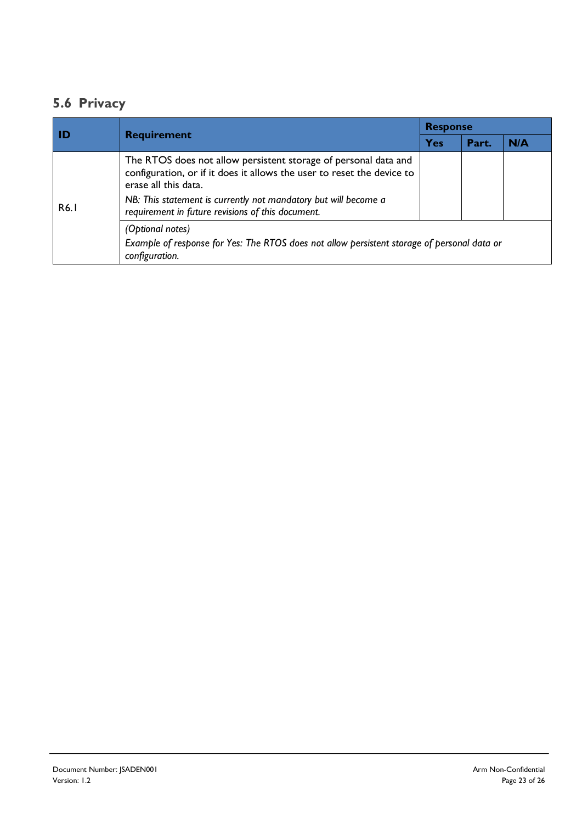## **5.6 Privacy**

| l ID | <b>Requirement</b>                                                                                                                                                                                                                                                                        | <b>Response</b> |       |     |  |
|------|-------------------------------------------------------------------------------------------------------------------------------------------------------------------------------------------------------------------------------------------------------------------------------------------|-----------------|-------|-----|--|
|      |                                                                                                                                                                                                                                                                                           | <b>Yes</b>      | Part. | N/A |  |
| R6.1 | The RTOS does not allow persistent storage of personal data and<br>configuration, or if it does it allows the user to reset the device to<br>erase all this data.<br>NB: This statement is currently not mandatory but will become a<br>requirement in future revisions of this document. |                 |       |     |  |
|      | (Optional notes)<br>Example of response for Yes: The RTOS does not allow persistent storage of personal data or<br>configuration.                                                                                                                                                         |                 |       |     |  |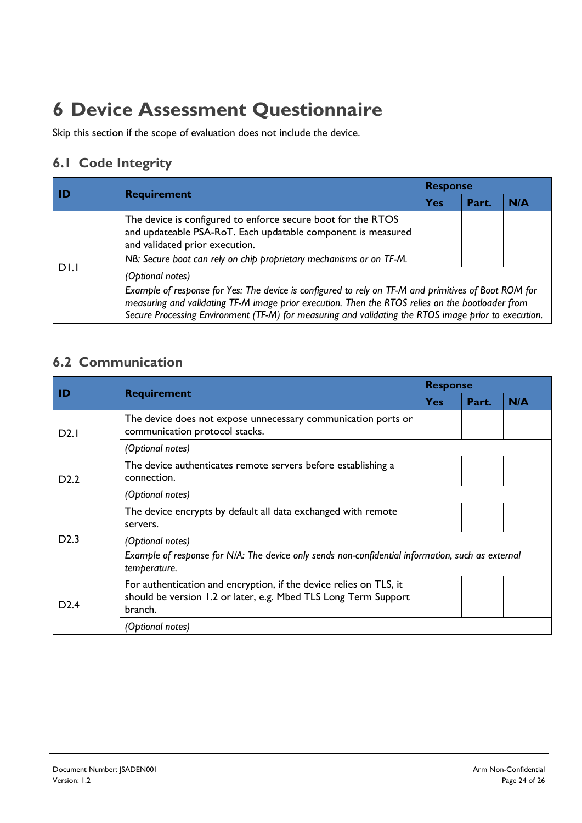# <span id="page-23-0"></span>**6 Device Assessment Questionnaire**

Skip this section if the scope of evaluation does not include the device.

## **6.1 Code Integrity**

| l ID | <b>Requirement</b>                                                                                                                                                                                                                                                                                                                   | <b>Response</b> |       |     |  |
|------|--------------------------------------------------------------------------------------------------------------------------------------------------------------------------------------------------------------------------------------------------------------------------------------------------------------------------------------|-----------------|-------|-----|--|
|      |                                                                                                                                                                                                                                                                                                                                      | Yes             | Part. | N/A |  |
| DI.I | The device is configured to enforce secure boot for the RTOS<br>and updateable PSA-RoT. Each updatable component is measured<br>and validated prior execution.<br>NB: Secure boot can rely on chip proprietary mechanisms or on TF-M.                                                                                                |                 |       |     |  |
|      | (Optional notes)<br>Example of response for Yes: The device is configured to rely on TF-M and primitives of Boot ROM for<br>measuring and validating TF-M image prior execution. Then the RTOS relies on the bootloader from<br>Secure Processing Environment (TF-M) for measuring and validating the RTOS image prior to execution. |                 |       |     |  |

## **6.2 Communication**

| ID                | <b>Requirement</b>                                                                                                                               | <b>Response</b> |       |     |
|-------------------|--------------------------------------------------------------------------------------------------------------------------------------------------|-----------------|-------|-----|
|                   |                                                                                                                                                  | <b>Yes</b>      | Part. | N/A |
| D2.1              | The device does not expose unnecessary communication ports or<br>communication protocol stacks.                                                  |                 |       |     |
|                   | (Optional notes)                                                                                                                                 |                 |       |     |
| D <sub>2</sub> .2 | The device authenticates remote servers before establishing a<br>connection.                                                                     |                 |       |     |
|                   | (Optional notes)                                                                                                                                 |                 |       |     |
| D2.3              | The device encrypts by default all data exchanged with remote<br>servers.                                                                        |                 |       |     |
|                   | (Optional notes)<br>Example of response for N/A: The device only sends non-confidential information, such as external<br>temperature.            |                 |       |     |
| D2.4              | For authentication and encryption, if the device relies on TLS, it<br>should be version 1.2 or later, e.g. Mbed TLS Long Term Support<br>branch. |                 |       |     |
|                   | (Optional notes)                                                                                                                                 |                 |       |     |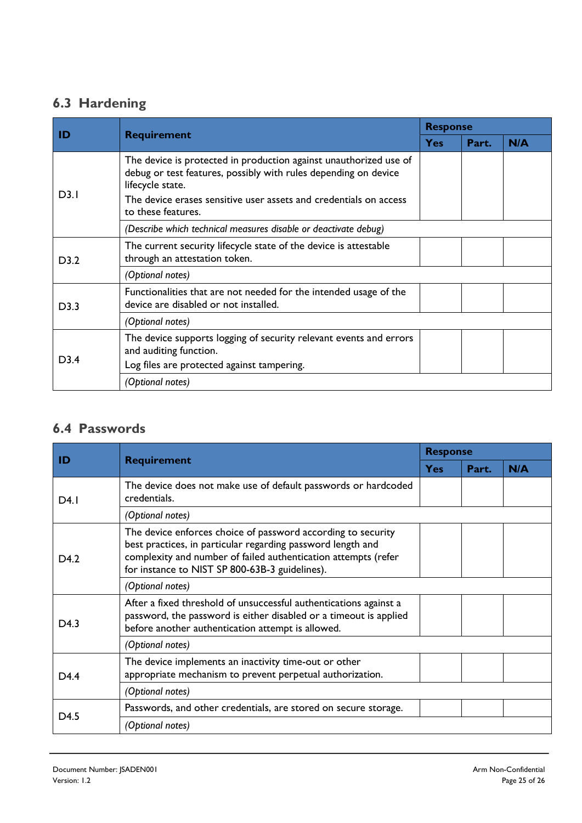## **6.3 Hardening**

| ID   | <b>Requirement</b>                                                                                                                                                                                                                                  | <b>Response</b> |       |     |
|------|-----------------------------------------------------------------------------------------------------------------------------------------------------------------------------------------------------------------------------------------------------|-----------------|-------|-----|
|      |                                                                                                                                                                                                                                                     | <b>Yes</b>      | Part. | N/A |
| D3.1 | The device is protected in production against unauthorized use of<br>debug or test features, possibly with rules depending on device<br>lifecycle state.<br>The device erases sensitive user assets and credentials on access<br>to these features. |                 |       |     |
|      | (Describe which technical measures disable or deactivate debug)                                                                                                                                                                                     |                 |       |     |
| D3.2 | The current security lifecycle state of the device is attestable<br>through an attestation token.                                                                                                                                                   |                 |       |     |
|      | (Optional notes)                                                                                                                                                                                                                                    |                 |       |     |
| D3.3 | Functionalities that are not needed for the intended usage of the<br>device are disabled or not installed.                                                                                                                                          |                 |       |     |
|      | (Optional notes)                                                                                                                                                                                                                                    |                 |       |     |
| D3.4 | The device supports logging of security relevant events and errors<br>and auditing function.                                                                                                                                                        |                 |       |     |
|      | Log files are protected against tampering.                                                                                                                                                                                                          |                 |       |     |
|      | (Optional notes)                                                                                                                                                                                                                                    |                 |       |     |

## **6.4 Passwords**

| ID               | <b>Requirement</b>                                                                                                                                                                                                                              | <b>Response</b> |       |     |
|------------------|-------------------------------------------------------------------------------------------------------------------------------------------------------------------------------------------------------------------------------------------------|-----------------|-------|-----|
|                  |                                                                                                                                                                                                                                                 | Yes             | Part. | N/A |
| D4.1             | The device does not make use of default passwords or hardcoded<br>credentials.                                                                                                                                                                  |                 |       |     |
|                  | (Optional notes)                                                                                                                                                                                                                                |                 |       |     |
| D <sub>4.2</sub> | The device enforces choice of password according to security<br>best practices, in particular regarding password length and<br>complexity and number of failed authentication attempts (refer<br>for instance to NIST SP 800-63B-3 guidelines). |                 |       |     |
|                  | (Optional notes)                                                                                                                                                                                                                                |                 |       |     |
| D <sub>4.3</sub> | After a fixed threshold of unsuccessful authentications against a<br>password, the password is either disabled or a timeout is applied<br>before another authentication attempt is allowed.                                                     |                 |       |     |
|                  | (Optional notes)                                                                                                                                                                                                                                |                 |       |     |
| D <sub>4.4</sub> | The device implements an inactivity time-out or other<br>appropriate mechanism to prevent perpetual authorization.                                                                                                                              |                 |       |     |
|                  | (Optional notes)                                                                                                                                                                                                                                |                 |       |     |
| D4.5             | Passwords, and other credentials, are stored on secure storage.                                                                                                                                                                                 |                 |       |     |
|                  | (Optional notes)                                                                                                                                                                                                                                |                 |       |     |